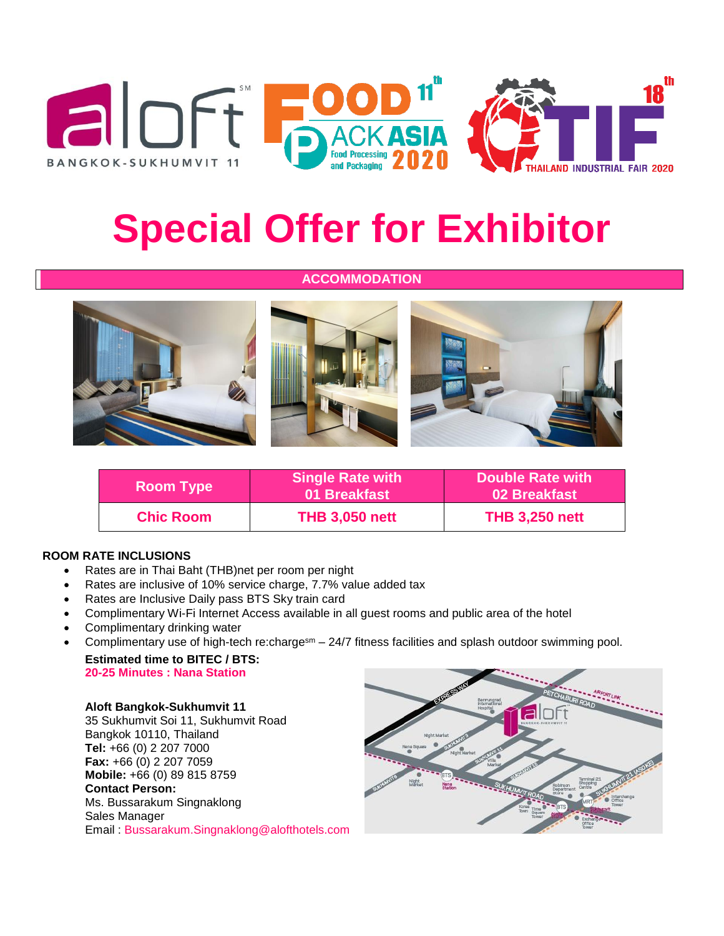





# **Special Offer for Exhibitor**

## **ACCOMMODATION**



| <b>Room Type</b> | <b>Single Rate with</b><br>01 Breakfast | Double Rate with<br>02 Breakfast |  |
|------------------|-----------------------------------------|----------------------------------|--|
| <b>Chic Room</b> | <b>THB 3,050 nett</b>                   | <b>THB 3,250 nett</b>            |  |

### **ROOM RATE INCLUSIONS**

- Rates are in Thai Baht (THB)net per room per night
- Rates are inclusive of 10% service charge, 7.7% value added tax
- Rates are Inclusive Daily pass BTS Sky train card
- Complimentary Wi-Fi Internet Access available in all guest rooms and public area of the hotel
- Complimentary drinking water
- Complimentary use of high-tech re:chargesm  $-$  24/7 fitness facilities and splash outdoor swimming pool. **Estimated time to BITEC / BTS:**

**20-25 Minutes : Nana Station**

#### **Aloft Bangkok-Sukhumvit 11**

35 Sukhumvit Soi 11, Sukhumvit Road Bangkok 10110, Thailand **Tel:** +66 (0) 2 207 7000 **Fax:** +66 (0) 2 207 7059 **Mobile:** +66 (0) 89 815 8759 **Contact Person:** Ms. Bussarakum Singnaklong Sales Manager Email : [Bussarakum.Singnaklong@alofthotels.com](mailto:Bussarakum.Singnaklong@alofthotels.com)